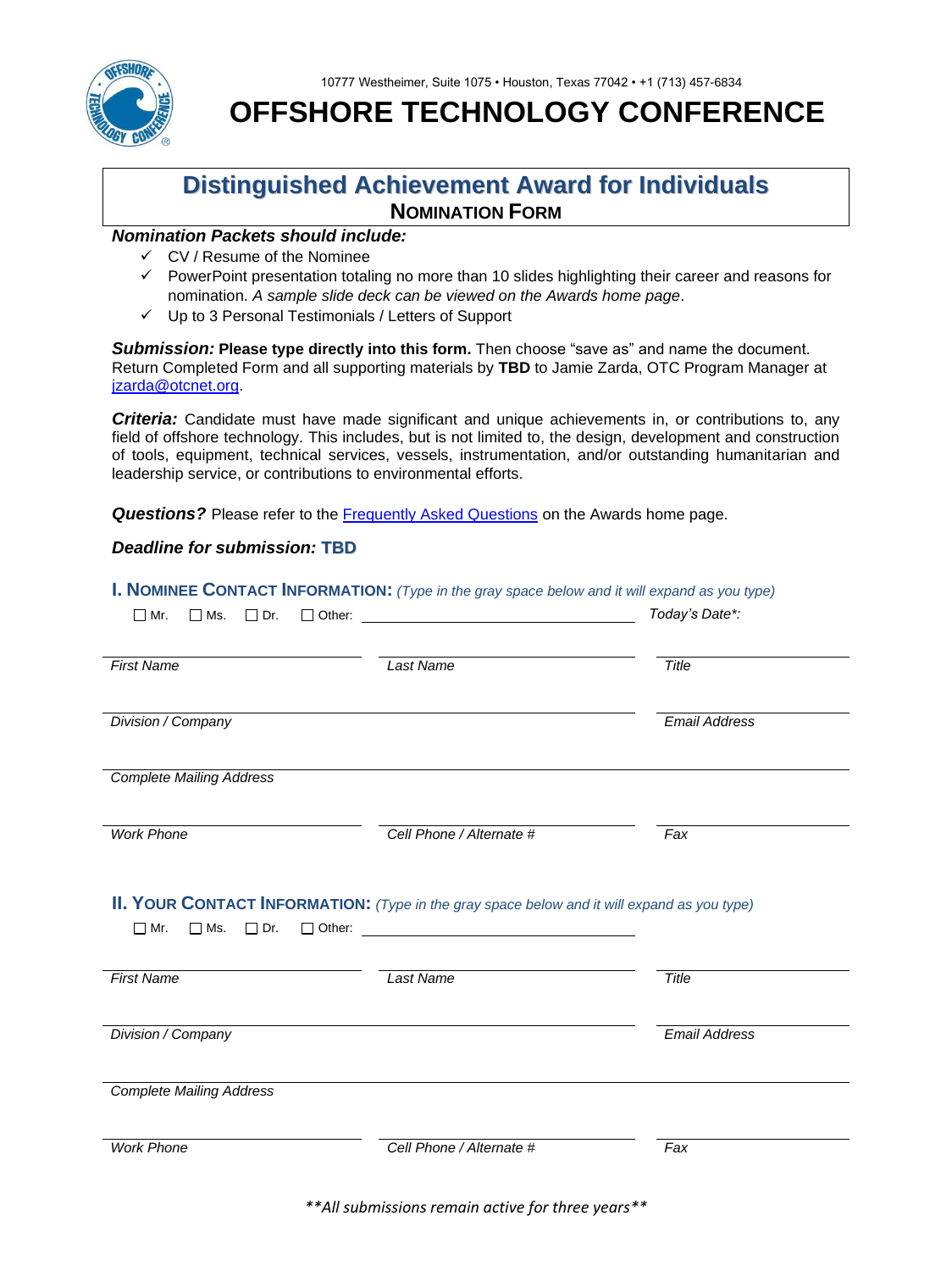



**OFFSHORE TECHNOLOGY CONFERENCE** 

## **Distinguished Achievement Award for Individuals NOMINATION FORM**

## *Nomination Packets should include:*

- ✓ CV / Resume of the Nominee
- ✓ PowerPoint presentation totaling no more than 10 slides highlighting their career and reasons for nomination. *A sample slide deck can be viewed on the Awards home page*.
- ✓ Up to 3 Personal Testimonials / Letters of Support

*Submission:* **Please type directly into this form.** Then choose "save as" and name the document. Return Completed Form and all supporting materials by **TBD** to Jamie Zarda, OTC Program Manager at [jzarda@otcnet.org.](mailto:jzarda@otcnet.org)

*Criteria:* Candidate must have made significant and unique achievements in, or contributions to, any field of offshore technology. This includes, but is not limited to, the design, development and construction of tools, equipment, technical services, vessels, instrumentation, and/or outstanding humanitarian and leadership service, or contributions to environmental efforts.

**Questions?** Please refer to the **Frequently Asked Questions** on the Awards home page.

## *Deadline for submission:* **TBD**

|                                              | <b>I. NOMINEE CONTACT INFORMATION:</b> (Type in the gray space below and it will expand as you type) |                      |
|----------------------------------------------|------------------------------------------------------------------------------------------------------|----------------------|
| $\Box$ Dr.<br>$\Box$ Mr.<br>$\Box$ Ms.       |                                                                                                      | Today's Date*:       |
| <b>First Name</b>                            | <b>Last Name</b>                                                                                     | <b>Title</b>         |
| Division / Company                           |                                                                                                      | <b>Email Address</b> |
| <b>Complete Mailing Address</b>              |                                                                                                      |                      |
| <b>Work Phone</b>                            | Cell Phone / Alternate #                                                                             | Fax                  |
| $\square$ Mr.<br>$\square$ Ms.<br>$\Box$ Dr. | II. YOUR CONTACT INFORMATION: (Type in the gray space below and it will expand as you type)          |                      |
| <b>First Name</b>                            | Last Name                                                                                            | Title                |
| Division / Company                           |                                                                                                      | <b>Email Address</b> |
| <b>Complete Mailing Address</b>              |                                                                                                      |                      |
|                                              |                                                                                                      |                      |

*\*\*All submissions remain active for three years\*\**